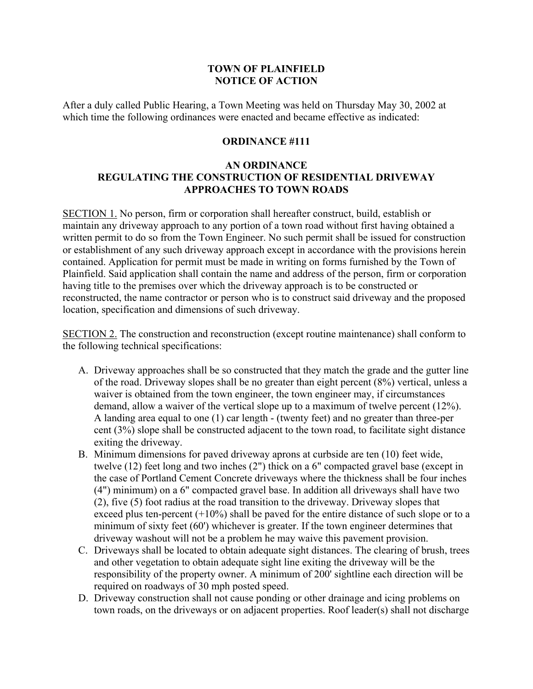## **TOWN OF PLAINFIELD NOTICE OF ACTION**

After a duly called Public Hearing, a Town Meeting was held on Thursday May 30, 2002 at which time the following ordinances were enacted and became effective as indicated:

## **ORDINANCE #111**

## **AN ORDINANCE REGULATING THE CONSTRUCTION OF RESIDENTIAL DRIVEWAY APPROACHES TO TOWN ROADS**

SECTION 1. No person, firm or corporation shall hereafter construct, build, establish or maintain any driveway approach to any portion of a town road without first having obtained a written permit to do so from the Town Engineer. No such permit shall be issued for construction or establishment of any such driveway approach except in accordance with the provisions herein contained. Application for permit must be made in writing on forms furnished by the Town of Plainfield. Said application shall contain the name and address of the person, firm or corporation having title to the premises over which the driveway approach is to be constructed or reconstructed, the name contractor or person who is to construct said driveway and the proposed location, specification and dimensions of such driveway.

SECTION 2. The construction and reconstruction (except routine maintenance) shall conform to the following technical specifications:

- A. Driveway approaches shall be so constructed that they match the grade and the gutter line of the road. Driveway slopes shall be no greater than eight percent (8%) vertical, unless a waiver is obtained from the town engineer, the town engineer may, if circumstances demand, allow a waiver of the vertical slope up to a maximum of twelve percent (12%). A landing area equal to one (1) car length - (twenty feet) and no greater than three-per cent (3%) slope shall be constructed adjacent to the town road, to facilitate sight distance exiting the driveway.
- B. Minimum dimensions for paved driveway aprons at curbside are ten (10) feet wide, twelve (12) feet long and two inches (2") thick on a 6" compacted gravel base (except in the case of Portland Cement Concrete driveways where the thickness shall be four inches (4") minimum) on a 6" compacted gravel base. In addition all driveways shall have two (2), five (5) foot radius at the road transition to the driveway. Driveway slopes that exceed plus ten-percent  $(+10\%)$  shall be paved for the entire distance of such slope or to a minimum of sixty feet (60') whichever is greater. If the town engineer determines that driveway washout will not be a problem he may waive this pavement provision.
- C. Driveways shall be located to obtain adequate sight distances. The clearing of brush, trees and other vegetation to obtain adequate sight line exiting the driveway will be the responsibility of the property owner. A minimum of 200' sightline each direction will be required on roadways of 30 mph posted speed.
- D. Driveway construction shall not cause ponding or other drainage and icing problems on town roads, on the driveways or on adjacent properties. Roof leader(s) shall not discharge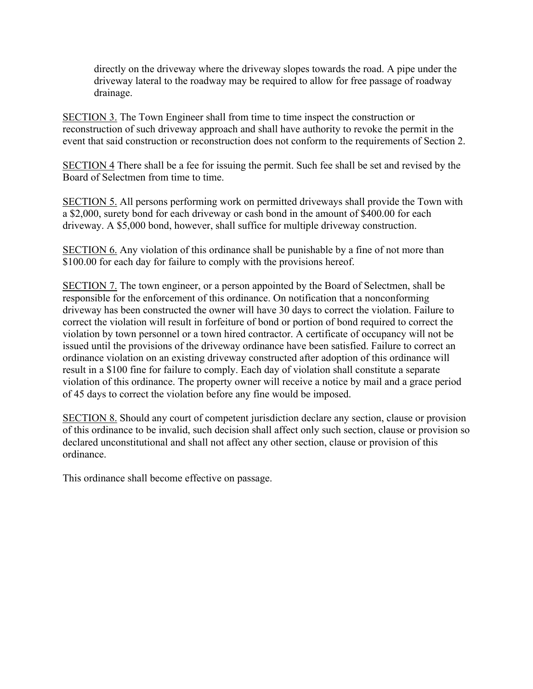directly on the driveway where the driveway slopes towards the road. A pipe under the driveway lateral to the roadway may be required to allow for free passage of roadway drainage.

SECTION 3. The Town Engineer shall from time to time inspect the construction or reconstruction of such driveway approach and shall have authority to revoke the permit in the event that said construction or reconstruction does not conform to the requirements of Section 2.

SECTION 4 There shall be a fee for issuing the permit. Such fee shall be set and revised by the Board of Selectmen from time to time.

SECTION 5. All persons performing work on permitted driveways shall provide the Town with a \$2,000, surety bond for each driveway or cash bond in the amount of \$400.00 for each driveway. A \$5,000 bond, however, shall suffice for multiple driveway construction.

SECTION 6. Any violation of this ordinance shall be punishable by a fine of not more than \$100.00 for each day for failure to comply with the provisions hereof.

SECTION 7. The town engineer, or a person appointed by the Board of Selectmen, shall be responsible for the enforcement of this ordinance. On notification that a nonconforming driveway has been constructed the owner will have 30 days to correct the violation. Failure to correct the violation will result in forfeiture of bond or portion of bond required to correct the violation by town personnel or a town hired contractor. A certificate of occupancy will not be issued until the provisions of the driveway ordinance have been satisfied. Failure to correct an ordinance violation on an existing driveway constructed after adoption of this ordinance will result in a \$100 fine for failure to comply. Each day of violation shall constitute a separate violation of this ordinance. The property owner will receive a notice by mail and a grace period of 45 days to correct the violation before any fine would be imposed.

SECTION 8. Should any court of competent jurisdiction declare any section, clause or provision of this ordinance to be invalid, such decision shall affect only such section, clause or provision so declared unconstitutional and shall not affect any other section, clause or provision of this ordinance.

This ordinance shall become effective on passage.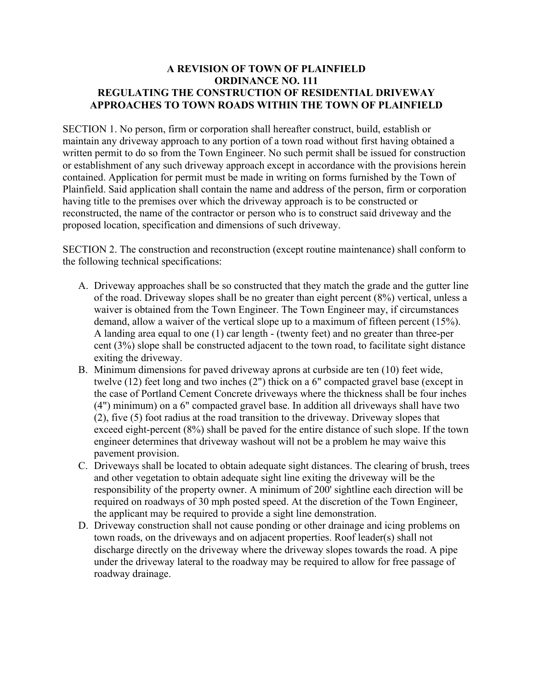## **A REVISION OF TOWN OF PLAINFIELD ORDINANCE NO. 111 REGULATING THE CONSTRUCTION OF RESIDENTIAL DRIVEWAY APPROACHES TO TOWN ROADS WITHIN THE TOWN OF PLAINFIELD**

SECTION 1. No person, firm or corporation shall hereafter construct, build, establish or maintain any driveway approach to any portion of a town road without first having obtained a written permit to do so from the Town Engineer. No such permit shall be issued for construction or establishment of any such driveway approach except in accordance with the provisions herein contained. Application for permit must be made in writing on forms furnished by the Town of Plainfield. Said application shall contain the name and address of the person, firm or corporation having title to the premises over which the driveway approach is to be constructed or reconstructed, the name of the contractor or person who is to construct said driveway and the proposed location, specification and dimensions of such driveway.

SECTION 2. The construction and reconstruction (except routine maintenance) shall conform to the following technical specifications:

- A. Driveway approaches shall be so constructed that they match the grade and the gutter line of the road. Driveway slopes shall be no greater than eight percent (8%) vertical, unless a waiver is obtained from the Town Engineer. The Town Engineer may, if circumstances demand, allow a waiver of the vertical slope up to a maximum of fifteen percent (15%). A landing area equal to one (1) car length - (twenty feet) and no greater than three-per cent (3%) slope shall be constructed adjacent to the town road, to facilitate sight distance exiting the driveway.
- B. Minimum dimensions for paved driveway aprons at curbside are ten (10) feet wide, twelve (12) feet long and two inches (2") thick on a 6" compacted gravel base (except in the case of Portland Cement Concrete driveways where the thickness shall be four inches (4") minimum) on a 6" compacted gravel base. In addition all driveways shall have two (2), five (5) foot radius at the road transition to the driveway. Driveway slopes that exceed eight-percent (8%) shall be paved for the entire distance of such slope. If the town engineer determines that driveway washout will not be a problem he may waive this pavement provision.
- C. Driveways shall be located to obtain adequate sight distances. The clearing of brush, trees and other vegetation to obtain adequate sight line exiting the driveway will be the responsibility of the property owner. A minimum of 200' sightline each direction will be required on roadways of 30 mph posted speed. At the discretion of the Town Engineer, the applicant may be required to provide a sight line demonstration.
- D. Driveway construction shall not cause ponding or other drainage and icing problems on town roads, on the driveways and on adjacent properties. Roof leader(s) shall not discharge directly on the driveway where the driveway slopes towards the road. A pipe under the driveway lateral to the roadway may be required to allow for free passage of roadway drainage.